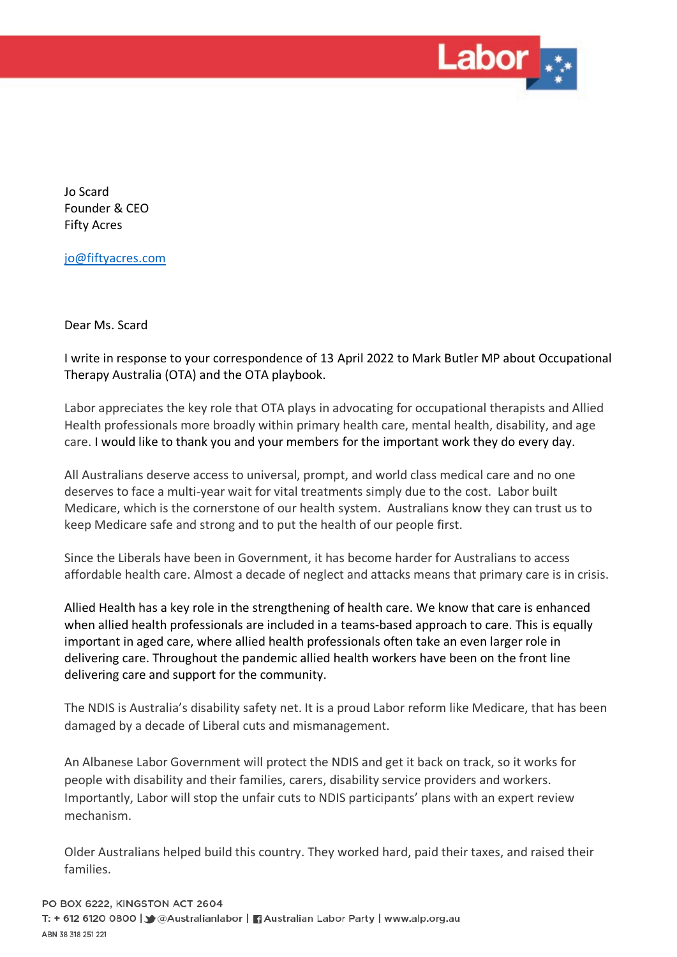

Jo Scard Founder & CEO Fifty Acres

jo@fiftyacres.com

Dear Ms. Scard

I write in response to your correspondence of 13 April 2022 to Mark Butler MP about Occupational Therapy Australia (OTA) and the OTA playbook.

Labor appreciates the key role that OTA plays in advocating for occupational therapists and Allied Health professionals more broadly within primary health care, mental health, disability, and age care. I would like to thank you and your members for the important work they do every day.

All Australians deserve access to universal, prompt, and world class medical care and no one deserves to face a multi-year wait for vital treatments simply due to the cost. Labor built Medicare, which is the cornerstone of our health system. Australians know they can trust us to keep Medicare safe and strong and to put the health of our people first.

Since the Liberals have been in Government, it has become harder for Australians to access affordable health care. Almost a decade of neglect and attacks means that primary care is in crisis.

Allied Health has a key role in the strengthening of health care. We know that care is enhanced when allied health professionals are included in a teams-based approach to care. This is equally important in aged care, where allied health professionals often take an even larger role in delivering care. Throughout the pandemic allied health workers have been on the front line delivering care and support for the community.

The NDIS is Australia's disability safety net. It is a proud Labor reform like Medicare, that has been damaged by a decade of Liberal cuts and mismanagement.

An Albanese Labor Government will protect the NDIS and get it back on track, so it works for people with disability and their families, carers, disability service providers and workers. Importantly, Labor will stop the unfair cuts to NDIS participants' plans with an expert review mechanism.

Older Australians helped build this country. They worked hard, paid their taxes, and raised their families.